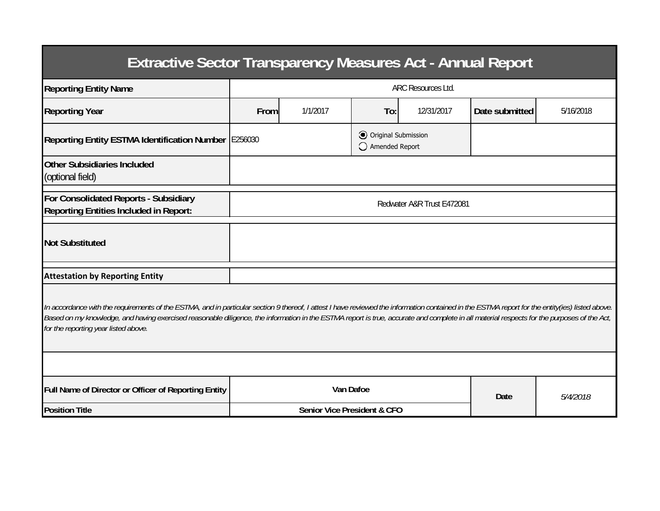| <b>Extractive Sector Transparency Measures Act - Annual Report</b>                                                                                                                                                                                                                                                                                                                                                                    |                                        |          |                                       |            |                |           |  |  |  |
|---------------------------------------------------------------------------------------------------------------------------------------------------------------------------------------------------------------------------------------------------------------------------------------------------------------------------------------------------------------------------------------------------------------------------------------|----------------------------------------|----------|---------------------------------------|------------|----------------|-----------|--|--|--|
| <b>Reporting Entity Name</b>                                                                                                                                                                                                                                                                                                                                                                                                          | <b>ARC Resources Ltd.</b>              |          |                                       |            |                |           |  |  |  |
| <b>Reporting Year</b>                                                                                                                                                                                                                                                                                                                                                                                                                 | From                                   | 1/1/2017 | To:                                   | 12/31/2017 | Date submitted | 5/16/2018 |  |  |  |
| Reporting Entity ESTMA Identification Number E256030                                                                                                                                                                                                                                                                                                                                                                                  |                                        |          | Original Submission<br>Amended Report |            |                |           |  |  |  |
| <b>Other Subsidiaries Included</b><br>(optional field)                                                                                                                                                                                                                                                                                                                                                                                |                                        |          |                                       |            |                |           |  |  |  |
| For Consolidated Reports - Subsidiary<br><b>Reporting Entities Included in Report:</b>                                                                                                                                                                                                                                                                                                                                                | Redwater A&R Trust E472081             |          |                                       |            |                |           |  |  |  |
| <b>Not Substituted</b>                                                                                                                                                                                                                                                                                                                                                                                                                |                                        |          |                                       |            |                |           |  |  |  |
| <b>Attestation by Reporting Entity</b>                                                                                                                                                                                                                                                                                                                                                                                                |                                        |          |                                       |            |                |           |  |  |  |
| In accordance with the requirements of the ESTMA, and in particular section 9 thereof, I attest I have reviewed the information contained in the ESTMA report for the entity(ies) listed above.<br>Based on my knowledge, and having exercised reasonable diligence, the information in the ESTMA report is true, accurate and complete in all material respects for the purposes of the Act,<br>for the reporting year listed above. |                                        |          |                                       |            |                |           |  |  |  |
|                                                                                                                                                                                                                                                                                                                                                                                                                                       |                                        |          |                                       |            |                |           |  |  |  |
| Full Name of Director or Officer of Reporting Entity                                                                                                                                                                                                                                                                                                                                                                                  | Van Dafoe                              |          |                                       |            | <b>Date</b>    | 5/4/2018  |  |  |  |
| <b>Position Title</b>                                                                                                                                                                                                                                                                                                                                                                                                                 | <b>Senior Vice President &amp; CFO</b> |          |                                       |            |                |           |  |  |  |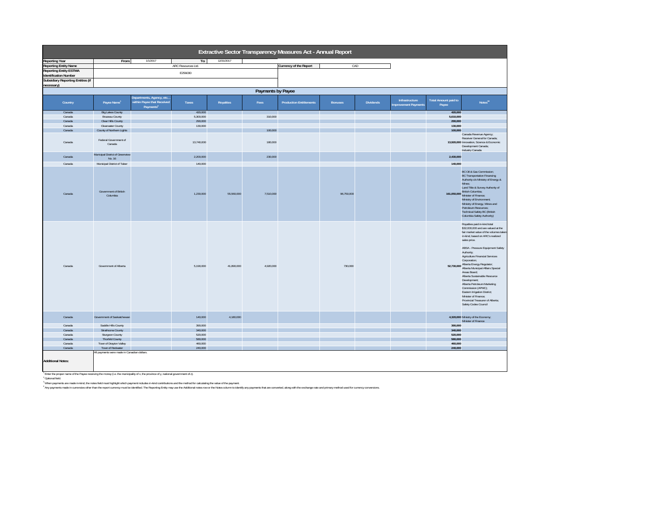| Extractive Sector Transparency Measures Act - Annual Report |                                             |                                                                                  |                    |            |                   |                                |                |                  |                                               |                                      |                                                                                                                                                                                                                                                                                                                                                                                                                                                                                                                                                                                            |
|-------------------------------------------------------------|---------------------------------------------|----------------------------------------------------------------------------------|--------------------|------------|-------------------|--------------------------------|----------------|------------------|-----------------------------------------------|--------------------------------------|--------------------------------------------------------------------------------------------------------------------------------------------------------------------------------------------------------------------------------------------------------------------------------------------------------------------------------------------------------------------------------------------------------------------------------------------------------------------------------------------------------------------------------------------------------------------------------------------|
| <b>Reporting Year</b>                                       | From:                                       | 1/1/2017                                                                         | To:                | 12/31/2017 |                   |                                |                |                  |                                               |                                      |                                                                                                                                                                                                                                                                                                                                                                                                                                                                                                                                                                                            |
| <b>Reporting Entity Name</b>                                |                                             |                                                                                  | ARC Resources Ltd. |            |                   | Currency of the Report         | CAD            |                  |                                               |                                      |                                                                                                                                                                                                                                                                                                                                                                                                                                                                                                                                                                                            |
| <b>Reporting Entity ESTMA</b>                               |                                             |                                                                                  |                    |            |                   |                                |                |                  |                                               |                                      |                                                                                                                                                                                                                                                                                                                                                                                                                                                                                                                                                                                            |
| <b>Identification Number</b>                                |                                             |                                                                                  | E256030            |            |                   |                                |                |                  |                                               |                                      |                                                                                                                                                                                                                                                                                                                                                                                                                                                                                                                                                                                            |
| Subsidiary Reporting Entities (if                           |                                             |                                                                                  |                    |            |                   |                                |                |                  |                                               |                                      |                                                                                                                                                                                                                                                                                                                                                                                                                                                                                                                                                                                            |
| necessary)                                                  |                                             |                                                                                  |                    |            |                   |                                |                |                  |                                               |                                      |                                                                                                                                                                                                                                                                                                                                                                                                                                                                                                                                                                                            |
|                                                             |                                             |                                                                                  |                    |            |                   |                                |                |                  |                                               |                                      |                                                                                                                                                                                                                                                                                                                                                                                                                                                                                                                                                                                            |
|                                                             |                                             |                                                                                  |                    |            | Payments by Payee |                                |                |                  |                                               |                                      |                                                                                                                                                                                                                                                                                                                                                                                                                                                                                                                                                                                            |
| Country                                                     | Payee Name1                                 | Departments, Agency, etc.<br>within Payee that Received<br>Payments <sup>2</sup> | Taxes              | Royalties  | Fees              | <b>Production Entitlements</b> | <b>Bonuses</b> | <b>Dividends</b> | Infrastructure<br><b>Improvement Payments</b> | <b>Total Amount paid to</b><br>Payee | $\mathsf{Notes}^{\mathsf{34}}$                                                                                                                                                                                                                                                                                                                                                                                                                                                                                                                                                             |
| Canada                                                      | <b>Big Lakes County</b>                     |                                                                                  | 420,000            |            |                   |                                |                |                  |                                               | 420,000                              |                                                                                                                                                                                                                                                                                                                                                                                                                                                                                                                                                                                            |
| Canada                                                      | Brazeau County                              |                                                                                  | 5,300,000          |            | 310,000           |                                |                |                  |                                               | 5,610,000                            |                                                                                                                                                                                                                                                                                                                                                                                                                                                                                                                                                                                            |
| Canada                                                      | Clear Hills County                          |                                                                                  | 290,000            |            |                   |                                |                |                  |                                               | 290,000                              |                                                                                                                                                                                                                                                                                                                                                                                                                                                                                                                                                                                            |
| Canada                                                      | Clearwater County                           |                                                                                  | 130,000            |            |                   |                                |                |                  |                                               | 130,000                              |                                                                                                                                                                                                                                                                                                                                                                                                                                                                                                                                                                                            |
| Canada                                                      | County of Northern Lights                   |                                                                                  |                    |            | 100,000           |                                |                |                  |                                               | 100,000                              |                                                                                                                                                                                                                                                                                                                                                                                                                                                                                                                                                                                            |
| Canada                                                      | Federal Government of<br>Canada             |                                                                                  | 13,740,000         |            | 180,000           |                                |                |                  |                                               |                                      | Canada Revenue Agency;<br>Receiver General for Canada;<br>13,920,000 Innovation, Science & Economic<br>Development Canada;<br>Industry Canada                                                                                                                                                                                                                                                                                                                                                                                                                                              |
| Canada                                                      | Municipal District of Greenview<br>No. 16   |                                                                                  | 2,200,000          |            | 230,000           |                                |                |                  |                                               | 2,430,000                            |                                                                                                                                                                                                                                                                                                                                                                                                                                                                                                                                                                                            |
| Canada                                                      | Municipal District of Taber                 |                                                                                  | 140,000            |            |                   |                                |                |                  |                                               | 140,000                              |                                                                                                                                                                                                                                                                                                                                                                                                                                                                                                                                                                                            |
| Canada                                                      | Government of British<br>Columbia           |                                                                                  | 1,230,000          | 55,560,000 | 7,510,000         |                                | 96,750,000     |                  |                                               |                                      | BC Oil & Gas Commission;<br><b>BC Transportation Financing</b><br>Authority c/o Ministry of Energy &<br>Mines:<br>Land Title & Survey Authority of<br>161,050,000 British Columbia;<br>Minister of Finance;<br>Ministry of Environment:<br>Ministry of Energy, Mines and<br>Petroleum Resources;<br><b>Technical Safety BC (British</b><br>Columbia Safety Authority)                                                                                                                                                                                                                      |
| Canada                                                      | Government of Alberta                       |                                                                                  | 5,190,000          | 41,890,000 | 4,920,000         |                                | 730,000        |                  |                                               |                                      | Royalties paid in-kind total<br>\$32,000,000 and are valued at the<br>fair market value of the volumes taken<br>in-kind, based on ARC's realized<br>sales price.<br>ABSA - Pressure Equipment Safety<br>Authority:<br>Agriculture Financial Services<br>Corporation:<br>52,730,000 Alberta Energy Regulator:<br>Alberta Municipal Affairs Special<br>Areas Board;<br>Alberta Sustainable Resource<br>Development:<br>Alberta Petroleum Marketing<br>Commission (APMC):<br>Eastern Irrigation District:<br>Minister of Finance:<br>Provincial Treasurer of Alberta;<br>Safety Codes Council |
| Canada                                                      | Government of Saskatchewan                  |                                                                                  | 140,000            | 4,180,000  |                   |                                |                |                  |                                               |                                      | 4,320,000 Ministry of the Economy;<br>Minister of Finance                                                                                                                                                                                                                                                                                                                                                                                                                                                                                                                                  |
| Canada                                                      | Saddle Hills County                         |                                                                                  | 390,000            |            |                   |                                |                |                  |                                               | 390,000                              |                                                                                                                                                                                                                                                                                                                                                                                                                                                                                                                                                                                            |
| Canada                                                      | Strathcona County                           |                                                                                  | 340,000            |            |                   |                                |                |                  |                                               | 340,000                              |                                                                                                                                                                                                                                                                                                                                                                                                                                                                                                                                                                                            |
| Canada                                                      | Sturgeon County                             |                                                                                  | 520,000            |            |                   |                                |                |                  |                                               | 520,000                              |                                                                                                                                                                                                                                                                                                                                                                                                                                                                                                                                                                                            |
| Canada                                                      | Thorhild County                             |                                                                                  | 580,000            |            |                   |                                |                |                  |                                               | 580,000                              |                                                                                                                                                                                                                                                                                                                                                                                                                                                                                                                                                                                            |
| Canada                                                      | Town of Drayton Valley                      |                                                                                  | 460,000            |            |                   |                                |                |                  |                                               | 460,000                              |                                                                                                                                                                                                                                                                                                                                                                                                                                                                                                                                                                                            |
| Canada                                                      | Town of Redwater                            |                                                                                  | 240,000            |            |                   |                                |                |                  |                                               | 240,000                              |                                                                                                                                                                                                                                                                                                                                                                                                                                                                                                                                                                                            |
| <b>Additional Notes:</b>                                    | All payments were made in Canadian dollars. |                                                                                  |                    |            |                   |                                |                |                  |                                               |                                      |                                                                                                                                                                                                                                                                                                                                                                                                                                                                                                                                                                                            |

' Ende the proper name of the Payse receiving the money (i.e. the municipality of x, the province of y, national government of 2).<br>"When payments are made in kind the mones field municipally which municipally may be made i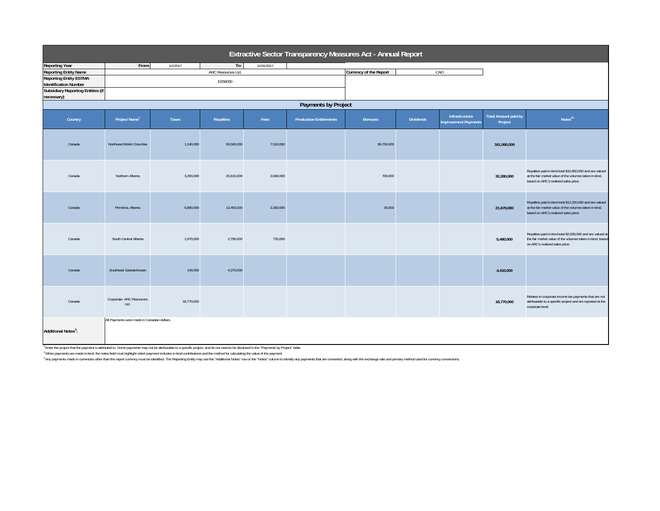| Extractive Sector Transparency Measures Act - Annual Report   |                                             |            |                    |            |                                |                        |                  |                                               |                                        |                                                                                                                                                            |  |
|---------------------------------------------------------------|---------------------------------------------|------------|--------------------|------------|--------------------------------|------------------------|------------------|-----------------------------------------------|----------------------------------------|------------------------------------------------------------------------------------------------------------------------------------------------------------|--|
| <b>Reporting Year</b>                                         | From:                                       | 1/1/2017   | To:                | 12/31/2017 |                                |                        |                  |                                               |                                        |                                                                                                                                                            |  |
| <b>Reporting Entity Name</b>                                  |                                             |            | ARC Resources Ltd. |            |                                | Currency of the Report |                  | CAD                                           |                                        |                                                                                                                                                            |  |
| <b>Reporting Entity ESTMA</b><br><b>Identification Number</b> |                                             |            | E256030            |            |                                |                        |                  |                                               |                                        |                                                                                                                                                            |  |
| <b>Subsidiary Reporting Entities (if</b><br>necessary)        |                                             |            |                    |            |                                |                        |                  |                                               |                                        |                                                                                                                                                            |  |
| Payments by Project                                           |                                             |            |                    |            |                                |                        |                  |                                               |                                        |                                                                                                                                                            |  |
| Country                                                       | Project Name <sup>1</sup>                   | Taxes      | Royalties          | Fees       | <b>Production Entitlements</b> | <b>Bonuses</b>         | <b>Dividends</b> | Infrastructure<br><b>Improvement Payments</b> | <b>Total Amount paid by</b><br>Project | Notes <sup>23</sup>                                                                                                                                        |  |
| Canada                                                        | Northeast British Columbia                  | 1,240,000  | 55,560,000         | 7,510,000  |                                | 96,750,000             |                  |                                               | 161,060,000                            |                                                                                                                                                            |  |
| Canada                                                        | Northern Alberta                            | 3,290,000  | 25,610,000         | 2.680.000  |                                | 700,000                |                  |                                               | 32,280,000                             | Royalties paid in-kind total \$16,850,000 and are valued<br>at the fair market value of the volumes taken in-kind,<br>based on ARC's realized sales price. |  |
| Canada                                                        | Pembina, Alberta                            | 5,890,000  | 13,400,000         | 2,350,000  |                                | 30,000                 |                  |                                               | 21,670,000                             | Royalties paid in-kind total \$12,220,000 and are valued<br>at the fair market value of the volumes taken in-kind,<br>based on ARC's realized sales price. |  |
| Canada                                                        | South Central Alberta                       | 1,970,000  | 2,790,000          | 720,000    |                                |                        |                  |                                               | 5,480,000                              | Royalties paid in-kind total \$2,930,000 and are valued at<br>the fair market value of the volumes taken in-kind, based<br>on ARC's realized sales price.  |  |
| Canada                                                        | Southeast Saskatchewan                      | 140,000    | 4,270,000          |            |                                |                        |                  |                                               | 4,410,000                              |                                                                                                                                                            |  |
| Canada                                                        | Corporate- ARC Resources<br>Ltd.            | 18,770,000 |                    |            |                                |                        |                  |                                               | 18,770,000                             | Relates to corporate income tax payments that are not<br>attributable to a specific project and are reported at the<br>corporate level.                    |  |
| Additional Notes <sup>3</sup> :                               | All Payments were made in Canadian dollars. |            |                    |            |                                |                        |                  |                                               |                                        |                                                                                                                                                            |  |

<sup>1</sup> Enler the poject that the payment is attributed to. Some payments may not be attributable to a specific project, and do not need to be disclosed in the "Payments by Project" table.<br><sup>2</sup> When payments are made in that th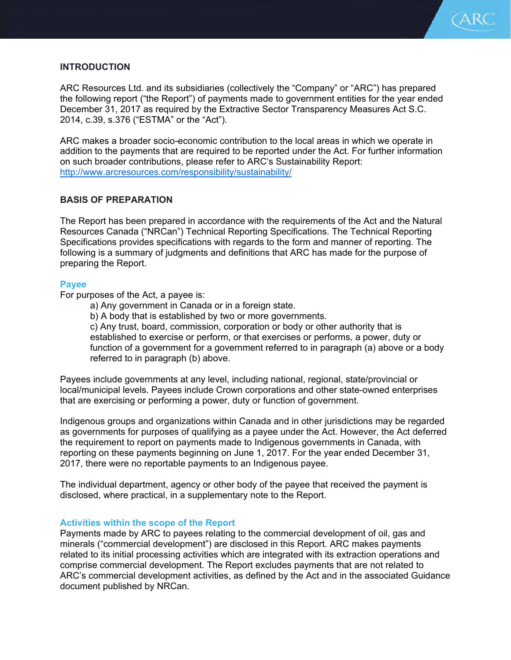

# **INTRODUCTION**

ARC Resources Ltd. and its subsidiaries (collectively the "Company" or "ARC") has prepared the following report ("the Report") of payments made to government entities for the year ended December 31, 2017 as required by the Extractive Sector Transparency Measures Act S.C. 2014, c.39, s.376 ("ESTMA" or the "Act").

ARC makes a broader socio-economic contribution to the local areas in which we operate in addition to the payments that are required to be reported under the Act. For further information on such broader contributions, please refer to ARC's Sustainability Report: http://www.arcresources.com/responsibility/sustainability/

# **BASIS OF PREPARATION**

The Report has been prepared in accordance with the requirements of the Act and the Natural Resources Canada ("NRCan") Technical Reporting Specifications. The Technical Reporting Specifications provides specifications with regards to the form and manner of reporting. The following is a summary of judgments and definitions that ARC has made for the purpose of preparing the Report.

## **Payee**

For purposes of the Act, a payee is:

a) Any government in Canada or in a foreign state.

b) A body that is established by two or more governments.

c) Any trust, board, commission, corporation or body or other authority that is established to exercise or perform, or that exercises or performs, a power, duty or function of a government for a government referred to in paragraph (a) above or a body referred to in paragraph (b) above.

Payees include governments at any level, including national, regional, state/provincial or local/municipal levels. Payees include Crown corporations and other state-owned enterprises that are exercising or performing a power, duty or function of government.

Indigenous groups and organizations within Canada and in other jurisdictions may be regarded as governments for purposes of qualifying as a payee under the Act. However, the Act deferred the requirement to report on payments made to Indigenous governments in Canada, with reporting on these payments beginning on June 1, 2017. For the year ended December 31, 2017, there were no reportable payments to an Indigenous payee.

The individual department, agency or other body of the payee that received the payment is disclosed, where practical, in a supplementary note to the Report.

## **Activities within the scope of the Report**

Payments made by ARC to payees relating to the commercial development of oil, gas and minerals ("commercial development") are disclosed in this Report. ARC makes payments related to its initial processing activities which are integrated with its extraction operations and comprise commercial development. The Report excludes payments that are not related to ARC's commercial development activities, as defined by the Act and in the associated Guidance document published by NRCan.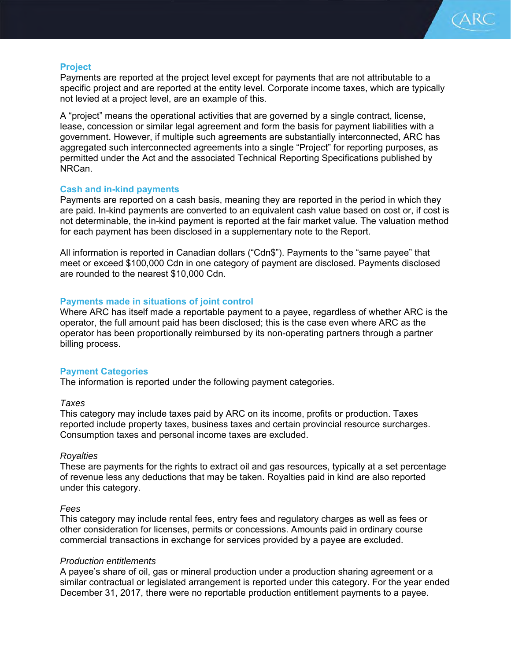

# **Project**

Payments are reported at the project level except for payments that are not attributable to a specific project and are reported at the entity level. Corporate income taxes, which are typically not levied at a project level, are an example of this.

A "project" means the operational activities that are governed by a single contract, license, lease, concession or similar legal agreement and form the basis for payment liabilities with a government. However, if multiple such agreements are substantially interconnected, ARC has aggregated such interconnected agreements into a single "Project" for reporting purposes, as permitted under the Act and the associated Technical Reporting Specifications published by NRCan.

## **Cash and in-kind payments**

Payments are reported on a cash basis, meaning they are reported in the period in which they are paid. In-kind payments are converted to an equivalent cash value based on cost or, if cost is not determinable, the in-kind payment is reported at the fair market value. The valuation method for each payment has been disclosed in a supplementary note to the Report.

All information is reported in Canadian dollars ("Cdn\$"). Payments to the "same payee" that meet or exceed \$100,000 Cdn in one category of payment are disclosed. Payments disclosed are rounded to the nearest \$10,000 Cdn.

# **Payments made in situations of joint control**

Where ARC has itself made a reportable payment to a payee, regardless of whether ARC is the operator, the full amount paid has been disclosed; this is the case even where ARC as the operator has been proportionally reimbursed by its non-operating partners through a partner billing process.

## **Payment Categories**

The information is reported under the following payment categories.

## *Taxes*

This category may include taxes paid by ARC on its income, profits or production. Taxes reported include property taxes, business taxes and certain provincial resource surcharges. Consumption taxes and personal income taxes are excluded.

## *Royalties*

These are payments for the rights to extract oil and gas resources, typically at a set percentage of revenue less any deductions that may be taken. Royalties paid in kind are also reported under this category.

## *Fees*

This category may include rental fees, entry fees and regulatory charges as well as fees or other consideration for licenses, permits or concessions. Amounts paid in ordinary course commercial transactions in exchange for services provided by a payee are excluded.

## *Production entitlements*

A payee's share of oil, gas or mineral production under a production sharing agreement or a similar contractual or legislated arrangement is reported under this category. For the year ended December 31, 2017, there were no reportable production entitlement payments to a payee.